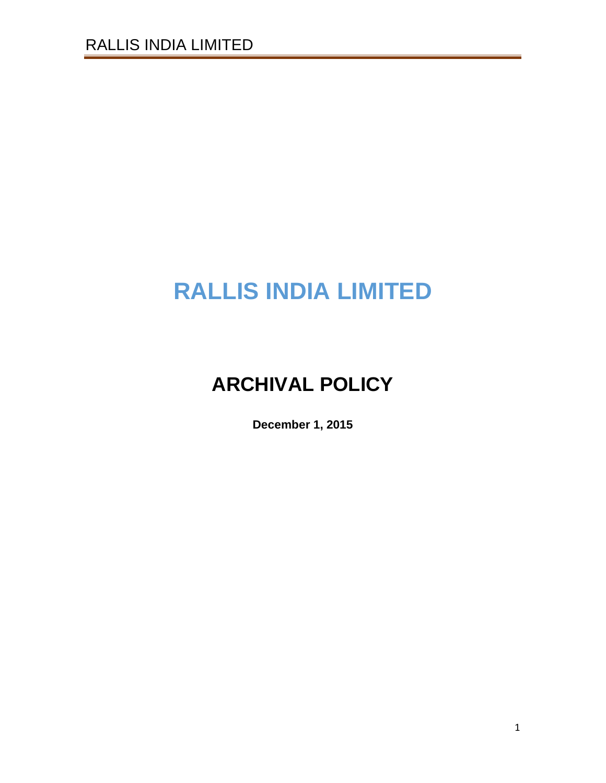# **RALLIS INDIA LIMITED**

# **ARCHIVAL POLICY**

**December 1, 2015**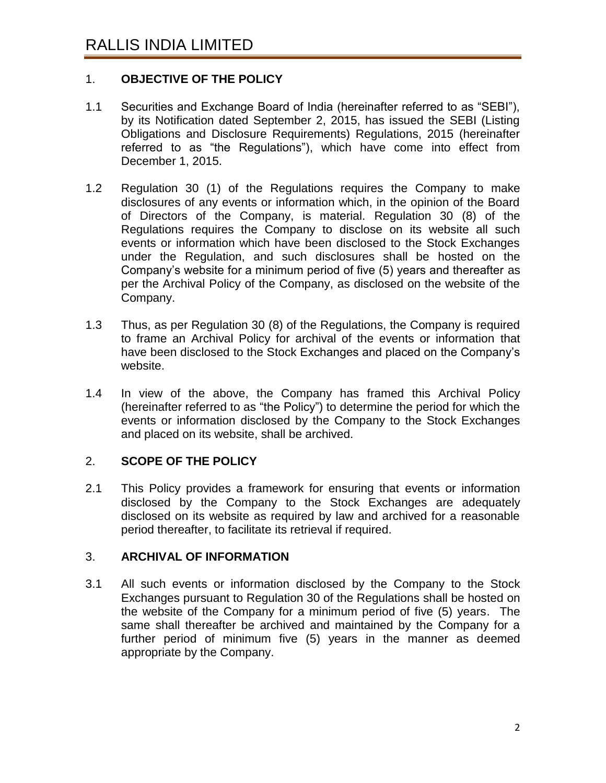# 1. **OBJECTIVE OF THE POLICY**

- 1.1 Securities and Exchange Board of India (hereinafter referred to as "SEBI"), by its Notification dated September 2, 2015, has issued the SEBI (Listing Obligations and Disclosure Requirements) Regulations, 2015 (hereinafter referred to as "the Regulations"), which have come into effect from December 1, 2015.
- 1.2 Regulation 30 (1) of the Regulations requires the Company to make disclosures of any events or information which, in the opinion of the Board of Directors of the Company, is material. Regulation 30 (8) of the Regulations requires the Company to disclose on its website all such events or information which have been disclosed to the Stock Exchanges under the Regulation, and such disclosures shall be hosted on the Company's website for a minimum period of five (5) years and thereafter as per the Archival Policy of the Company, as disclosed on the website of the Company.
- 1.3 Thus, as per Regulation 30 (8) of the Regulations, the Company is required to frame an Archival Policy for archival of the events or information that have been disclosed to the Stock Exchanges and placed on the Company's website.
- 1.4 In view of the above, the Company has framed this Archival Policy (hereinafter referred to as "the Policy") to determine the period for which the events or information disclosed by the Company to the Stock Exchanges and placed on its website, shall be archived.

# 2. **SCOPE OF THE POLICY**

2.1 This Policy provides a framework for ensuring that events or information disclosed by the Company to the Stock Exchanges are adequately disclosed on its website as required by law and archived for a reasonable period thereafter, to facilitate its retrieval if required.

#### 3. **ARCHIVAL OF INFORMATION**

3.1 All such events or information disclosed by the Company to the Stock Exchanges pursuant to Regulation 30 of the Regulations shall be hosted on the website of the Company for a minimum period of five (5) years. The same shall thereafter be archived and maintained by the Company for a further period of minimum five (5) years in the manner as deemed appropriate by the Company.